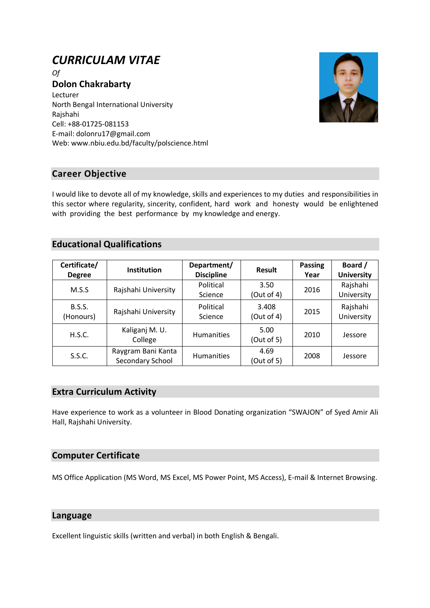# *CURRICULAM VITAE*

*Of* **Dolon Chakrabarty** Lecturer North Bengal International University Rajshahi Cell: +88-01725-081153 E-mail: dolonru17@gmail.com Web: www.nbiu.edu.bd/faculty/polscience.html



# **Career Objective**

I would like to devote all of my knowledge, skills and experiences to my duties and responsibilities in this sector where regularity, sincerity, confident, hard work and honesty would be enlightened with providing the best performance by my knowledge and energy.

# **Educational Qualifications**

| Certificate/<br><b>Degree</b> | <b>Institution</b>                     | Department/<br><b>Discipline</b> | <b>Result</b>       | <b>Passing</b><br>Year | Board /<br><b>University</b> |
|-------------------------------|----------------------------------------|----------------------------------|---------------------|------------------------|------------------------------|
| M.S.S                         | Rajshahi University                    | Political<br>Science             | 3.50<br>(Out of 4)  | 2016                   | Rajshahi<br>University       |
| <b>B.S.S.</b><br>(Honours)    | Rajshahi University                    | Political<br>Science             | 3.408<br>(Out of 4) | 2015                   | Rajshahi<br>University       |
| H.S.C.                        | Kaliganj M. U.<br>College              | <b>Humanities</b>                | 5.00<br>(Out of 5)  | 2010                   | Jessore                      |
| S.S.C.                        | Raygram Bani Kanta<br>Secondary School | <b>Humanities</b>                | 4.69<br>(Out of 5)  | 2008                   | Jessore                      |

## **Extra Curriculum Activity**

Have experience to work as a volunteer in Blood Donating organization "SWAJON" of Syed Amir Ali Hall, Rajshahi University.

## **Computer Certificate**

MS Office Application (MS Word, MS Excel, MS Power Point, MS Access), E-mail & Internet Browsing.

## **Language**

Excellent linguistic skills (written and verbal) in both English & Bengali.